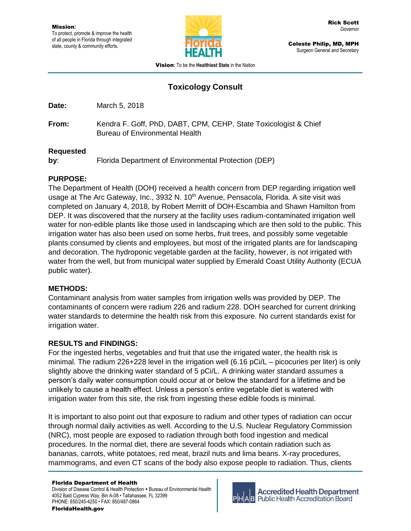

Celeste Philip, MD, MPH Surgeon General and Secretary

Vision**:** To be the **Healthiest State** in the Nation

# **Toxicology Consult**

**Date:** March 5, 2018

**From:** Kendra F. Goff, PhD, DABT, CPM, CEHP, State Toxicologist & Chief Bureau of Environmental Health

#### **Requested**

**by**: Florida Department of Environmental Protection (DEP)

## **PURPOSE:**

The Department of Health (DOH) received a health concern from DEP regarding irrigation well usage at The Arc Gateway, Inc., 3932 N.  $10<sup>th</sup>$  Avenue, Pensacola, Florida. A site visit was completed on January 4, 2018, by Robert Merritt of DOH-Escambia and Shawn Hamilton from DEP. It was discovered that the nursery at the facility uses radium-contaminated irrigation well water for non-edible plants like those used in landscaping which are then sold to the public. This irrigation water has also been used on some herbs, fruit trees, and possibly some vegetable plants consumed by clients and employees, but most of the irrigated plants are for landscaping and decoration. The hydroponic vegetable garden at the facility, however, is not irrigated with water from the well, but from municipal water supplied by Emerald Coast Utility Authority (ECUA public water).

## **METHODS:**

Contaminant analysis from water samples from irrigation wells was provided by DEP. The contaminants of concern were radium 226 and radium 228. DOH searched for current drinking water standards to determine the health risk from this exposure. No current standards exist for irrigation water.

#### **RESULTS and FINDINGS:**

For the ingested herbs, vegetables and fruit that use the irrigated water, the health risk is minimal. The radium 226+228 level in the irrigation well (6.16 pCi/L – picocuries per liter) is only slightly above the drinking water standard of 5 pCi/L. A drinking water standard assumes a person's daily water consumption could occur at or below the standard for a lifetime and be unlikely to cause a health effect. Unless a person's entire vegetable diet is watered with irrigation water from this site, the risk from ingesting these edible foods is minimal.

It is important to also point out that exposure to radium and other types of radiation can occur through normal daily activities as well. According to the U.S. Nuclear Regulatory Commission (NRC), most people are exposed to radiation through both food ingestion and medical procedures. In the normal diet, there are several foods which contain radiation such as bananas, carrots, white potatoes, red meat, brazil nuts and lima beans. X-ray procedures, mammograms, and even CT scans of the body also expose people to radiation. Thus, clients

Division of Disease Control & Health Protection . Bureau of Environmental Health 4052 Bald Cypress Way, Bin A-08 • Tallahassee, FL 32399 PHONE: 850/245-4250 • FAX: 850/487-0864



**Accredited Health Department Public Health Accreditation Board**